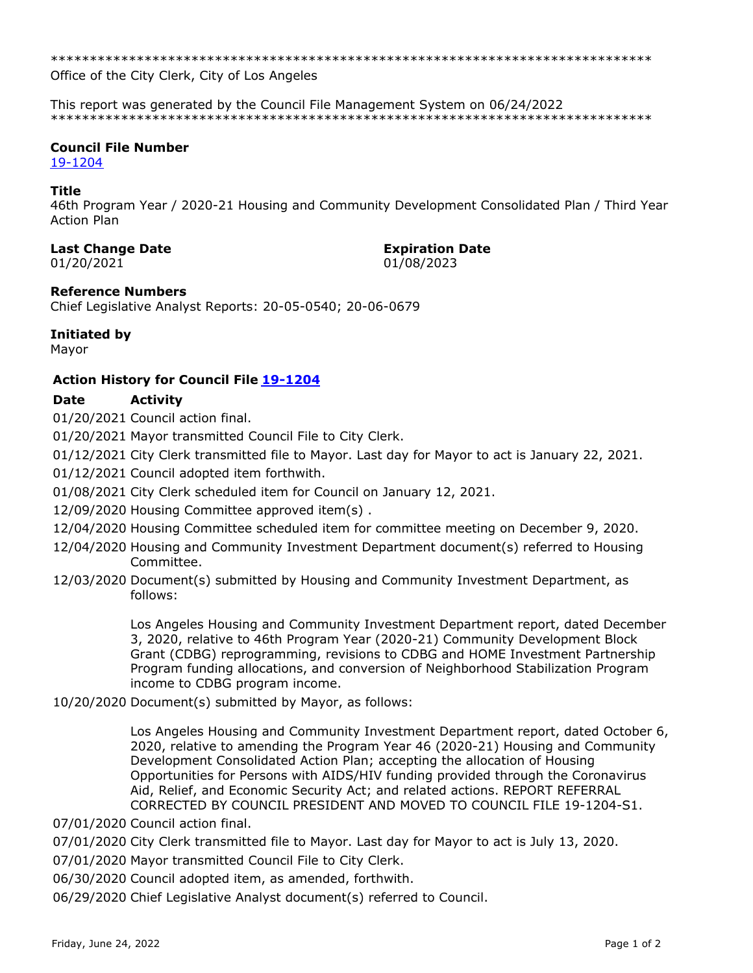Office of the City Clerk, City of Los Angeles

This report was generated by the Council File Management System on 06/24/2022 

# **Council File Number**

19-1204

### Title

46th Program Year / 2020-21 Housing and Community Development Consolidated Plan / Third Year **Action Plan** 

### **Last Change Date**

01/20/2021

**Expiration Date** 01/08/2023

**Reference Numbers** 

Chief Legislative Analyst Reports: 20-05-0540; 20-06-0679

# Initiated by

Mayor

# **Action History for Council File 19-1204**

#### **Date Activity**

01/20/2021 Council action final.

01/20/2021 Mayor transmitted Council File to City Clerk.

01/12/2021 City Clerk transmitted file to Mayor. Last day for Mayor to act is January 22, 2021.

01/12/2021 Council adopted item forthwith.

01/08/2021 City Clerk scheduled item for Council on January 12, 2021.

- 12/09/2020 Housing Committee approved item(s).
- 12/04/2020 Housing Committee scheduled item for committee meeting on December 9, 2020.
- 12/04/2020 Housing and Community Investment Department document(s) referred to Housing Committee.
- 12/03/2020 Document(s) submitted by Housing and Community Investment Department, as follows:

Los Angeles Housing and Community Investment Department report, dated December 3, 2020, relative to 46th Program Year (2020-21) Community Development Block Grant (CDBG) reprogramming, revisions to CDBG and HOME Investment Partnership Program funding allocations, and conversion of Neighborhood Stabilization Program income to CDBG program income.

10/20/2020 Document(s) submitted by Mayor, as follows:

Los Angeles Housing and Community Investment Department report, dated October 6, 2020, relative to amending the Program Year 46 (2020-21) Housing and Community Development Consolidated Action Plan; accepting the allocation of Housing Opportunities for Persons with AIDS/HIV funding provided through the Coronavirus Aid, Relief, and Economic Security Act; and related actions. REPORT REFERRAL CORRECTED BY COUNCIL PRESIDENT AND MOVED TO COUNCIL FILE 19-1204-S1.

07/01/2020 Council action final.

07/01/2020 City Clerk transmitted file to Mayor. Last day for Mayor to act is July 13, 2020.

07/01/2020 Mayor transmitted Council File to City Clerk.

06/30/2020 Council adopted item, as amended, forthwith.

06/29/2020 Chief Legislative Analyst document(s) referred to Council.